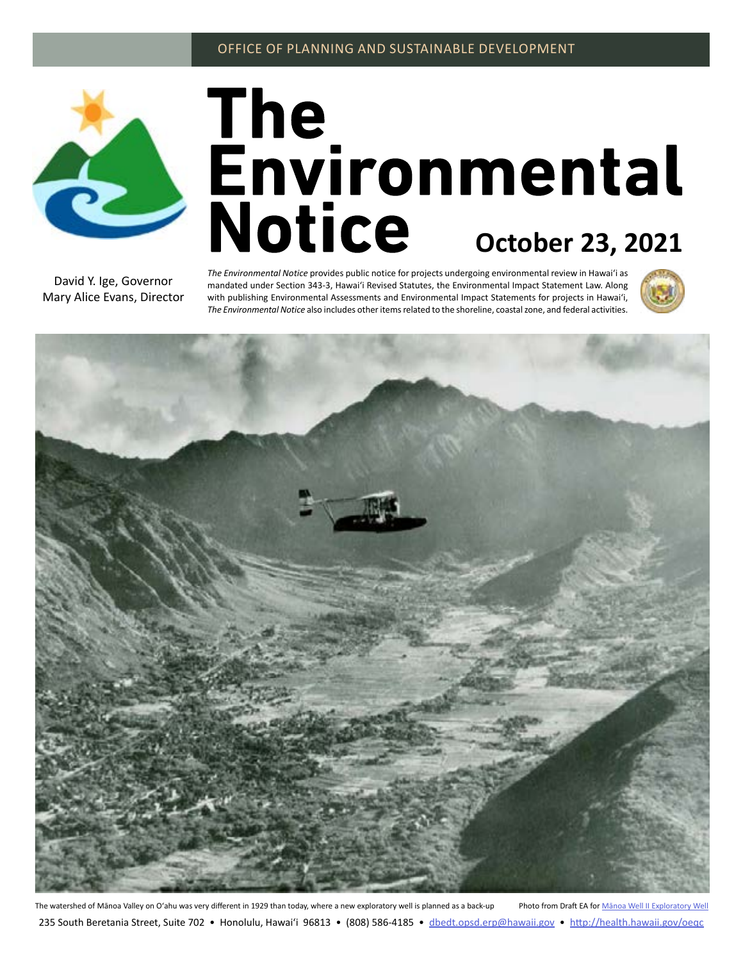

# The<br>**Environmental**<br>Notice **October 23, 2021**

David Y. Ige, Governor Mary Alice Evans, Director *The Environmental Notice* provides public notice for projects undergoing environmental review in Hawaiʻi as mandated under Section 343-3, Hawaiʻi Revised Statutes, the Environmental Impact Statement Law. Along with publishing Environmental Assessments and Environmental Impact Statements for projects in Hawaiʻi, *The Environmental Notice* also includes other items related to the shoreline, coastal zone, and federal activities.





The watershed of Mānoa Valley on O'ahu was very different in 1929 than today, where a new exploratory well is planned as a back-up Photo from Draft EA for Manoa Well II Exploratory Well 235 South Beretania Street, Suite 702 • Honolulu, Hawai'i 96813 • (808) 586-4185 • dbedt.opsd.erp[@hawaii.gov](mailto:dbedt.opsd.erp%40hawaii.gov?subject=) • <http://health.hawaii.gov/oeqc>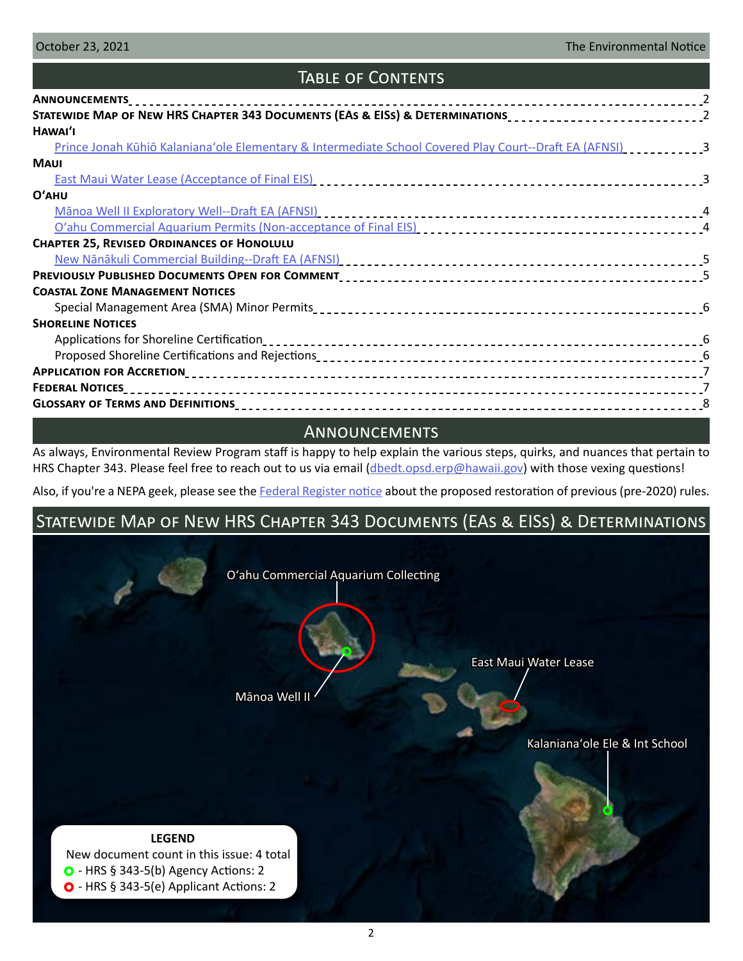# Table of Contents

| <b>ANNOUNCEMENTS</b>                                                                                          |  |
|---------------------------------------------------------------------------------------------------------------|--|
| STATEWIDE MAP OF NEW HRS CHAPTER 343 DOCUMENTS (EAS & EISS) & DETERMINATIONS________________________________2 |  |
| HAWAI'I                                                                                                       |  |
| Prince Jonah Kūhiō Kalaniana'ole Elementary & Intermediate School Covered Play Court--Draft EA (AFNSI)        |  |
| <b>MAUI</b>                                                                                                   |  |
|                                                                                                               |  |
| $O'$ AHU                                                                                                      |  |
|                                                                                                               |  |
|                                                                                                               |  |
| <b>CHAPTER 25, REVISED ORDINANCES OF HONOLULU</b>                                                             |  |
|                                                                                                               |  |
|                                                                                                               |  |
| <b>COASTAL ZONE MANAGEMENT NOTICES</b>                                                                        |  |
|                                                                                                               |  |
| <b>SHORELINE NOTICES</b>                                                                                      |  |
|                                                                                                               |  |
|                                                                                                               |  |
|                                                                                                               |  |
| <b>FEDERAL NOTICES</b>                                                                                        |  |
|                                                                                                               |  |

# **ANNOUNCEMENTS**

As always, Environmental Review Program staff is happy to help explain the various steps, quirks, and nuances that pertain to HRS Chapter 343. Please feel free to reach out to us via email (dbedt.opsd.erp@[hawaii.gov](mailto:dbedt.opsd.erp%40hawaii.gov?subject=)) with those vexing questions!

Also, if you're a NEPA geek, please see the [Federal Register notice](#page-6-0) about the proposed restoration of previous (pre-2020) rules.

# Statewide Map of New HRS Chapter 343 Documents (EAs & EISs) & Determinations

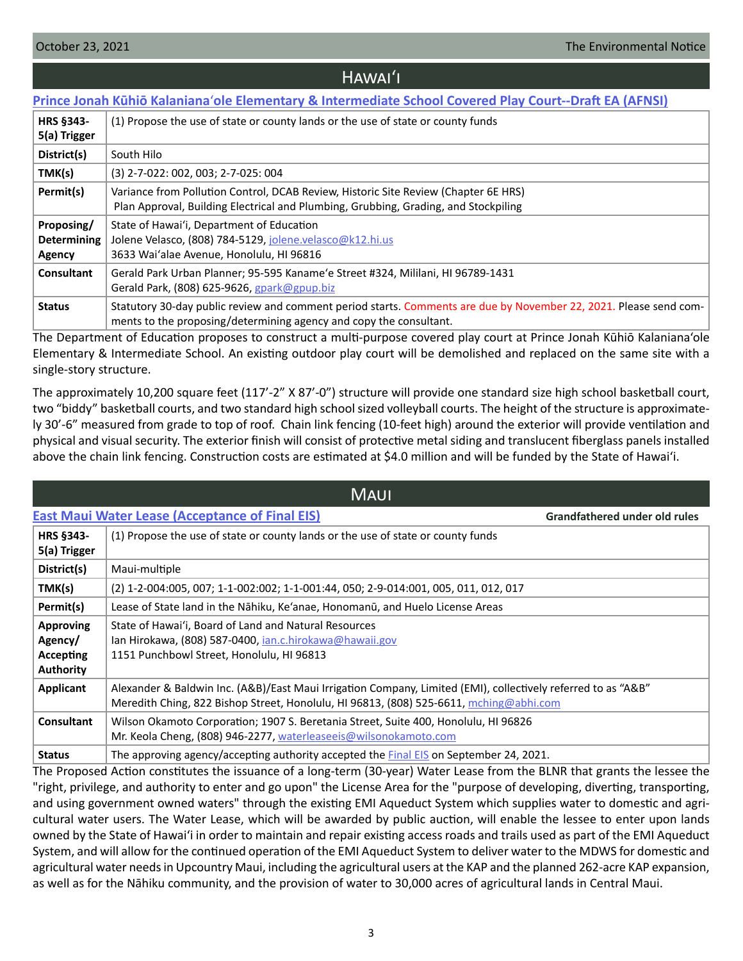# Hawaiʻi

# <span id="page-2-0"></span>**Prince Jonah Kūhiō Kalaniana**ʻ**[ole Elementary & Intermediate School Covered Play Court--Draft EA \(AFNSI\)](http://oeqc2.doh.hawaii.gov/Doc_Library/2021-10-23-HA-DEA-Kalanianaole-Ele-and-Int-School-Covered-Play-Court.pdf)**

| HRS §343-<br>5(a) Trigger                  | (1) Propose the use of state or county lands or the use of state or county funds                                                                                                        |
|--------------------------------------------|-----------------------------------------------------------------------------------------------------------------------------------------------------------------------------------------|
| District(s)                                | South Hilo                                                                                                                                                                              |
| TMK(s)                                     | (3) 2-7-022: 002, 003; 2-7-025: 004                                                                                                                                                     |
| Permit(s)                                  | Variance from Pollution Control, DCAB Review, Historic Site Review (Chapter 6E HRS)<br>Plan Approval, Building Electrical and Plumbing, Grubbing, Grading, and Stockpiling              |
| Proposing/<br><b>Determining</b><br>Agency | State of Hawai'i, Department of Education<br>Jolene Velasco, (808) 784-5129, jolene.velasco@k12.hi.us<br>3633 Wai'alae Avenue, Honolulu, HI 96816                                       |
| Consultant                                 | Gerald Park Urban Planner; 95-595 Kaname'e Street #324, Mililani, HI 96789-1431<br>Gerald Park, (808) 625-9626, gpark@gpup.biz                                                          |
| <b>Status</b>                              | Statutory 30-day public review and comment period starts. Comments are due by November 22, 2021. Please send com-<br>ments to the proposing/determining agency and copy the consultant. |

The Department of Education proposes to construct a multi-purpose covered play court at Prince Jonah Kūhiō Kalaniana'ole Elementary & Intermediate School. An existing outdoor play court will be demolished and replaced on the same site with a single-story structure.

The approximately 10,200 square feet (117'-2" X 87'-0") structure will provide one standard size high school basketball court, two "biddy" basketball courts, and two standard high school sized volleyball courts. The height of the structure is approximately 30'-6" measured from grade to top of roof. Chain link fencing (10-feet high) around the exterior will provide ventilation and physical and visual security. The exterior finish will consist of protective metal siding and translucent fiberglass panels installed above the chain link fencing. Construction costs are estimated at \$4.0 million and will be funded by the State of Hawai'i.

|                                                       | <b>MAUI</b>                                                                                                                                                                                                           |                               |
|-------------------------------------------------------|-----------------------------------------------------------------------------------------------------------------------------------------------------------------------------------------------------------------------|-------------------------------|
|                                                       | <b>East Maui Water Lease (Acceptance of Final EIS)</b>                                                                                                                                                                | Grandfathered under old rules |
| <b>HRS §343-</b><br>5(a) Trigger                      | (1) Propose the use of state or county lands or the use of state or county funds                                                                                                                                      |                               |
| District(s)                                           | Maui-multiple                                                                                                                                                                                                         |                               |
| TMK(s)                                                | (2) 1-2-004:005, 007; 1-1-002:002; 1-1-001:44, 050; 2-9-014:001, 005, 011, 012, 017                                                                                                                                   |                               |
| Permit(s)                                             | Lease of State land in the Nāhiku, Ke'anae, Honomanū, and Huelo License Areas                                                                                                                                         |                               |
| <b>Approving</b><br>Agency/<br>Accepting<br>Authority | State of Hawai'i, Board of Land and Natural Resources<br>lan Hirokawa, (808) 587-0400, <i>ian.c.hirokawa@hawaii.gov</i><br>1151 Punchbowl Street, Honolulu, HI 96813                                                  |                               |
| <b>Applicant</b>                                      | Alexander & Baldwin Inc. (A&B)/East Maui Irrigation Company, Limited (EMI), collectively referred to as "A&B"<br>Meredith Ching, 822 Bishop Street, Honolulu, HI 96813, (808) 525-6611, mching@abhi.com               |                               |
| <b>Consultant</b>                                     | Wilson Okamoto Corporation; 1907 S. Beretania Street, Suite 400, Honolulu, HI 96826<br>Mr. Keola Cheng, (808) 946-2277, waterleaseeis@wilsonokamoto.com                                                               |                               |
| <b>Status</b>                                         | The approving agency/accepting authority accepted the Final EIS on September 24, 2021.<br>The Despecial Action constitutes the issuesses of a leve tome (20 year) Wetan Leons from the DIND that create the Leons the |                               |

The Proposed Action constitutes the issuance of a long-term (30-year) Water Lease from the BLNR that grants the lessee the "right, privilege, and authority to enter and go upon" the License Area for the "purpose of developing, diverting, transporting, and using government owned waters" through the existing EMI Aqueduct System which supplies water to domestic and agricultural water users. The Water Lease, which will be awarded by public auction, will enable the lessee to enter upon lands owned by the State of Hawai'i in order to maintain and repair existing access roads and trails used as part of the EMI Aqueduct System, and will allow for the continued operation of the EMI Aqueduct System to deliver water to the MDWS for domestic and agricultural water needs in Upcountry Maui, including the agricultural users at the KAP and the planned 262-acre KAP expansion, as well as for the Nāhiku community, and the provision of water to 30,000 acres of agricultural lands in Central Maui.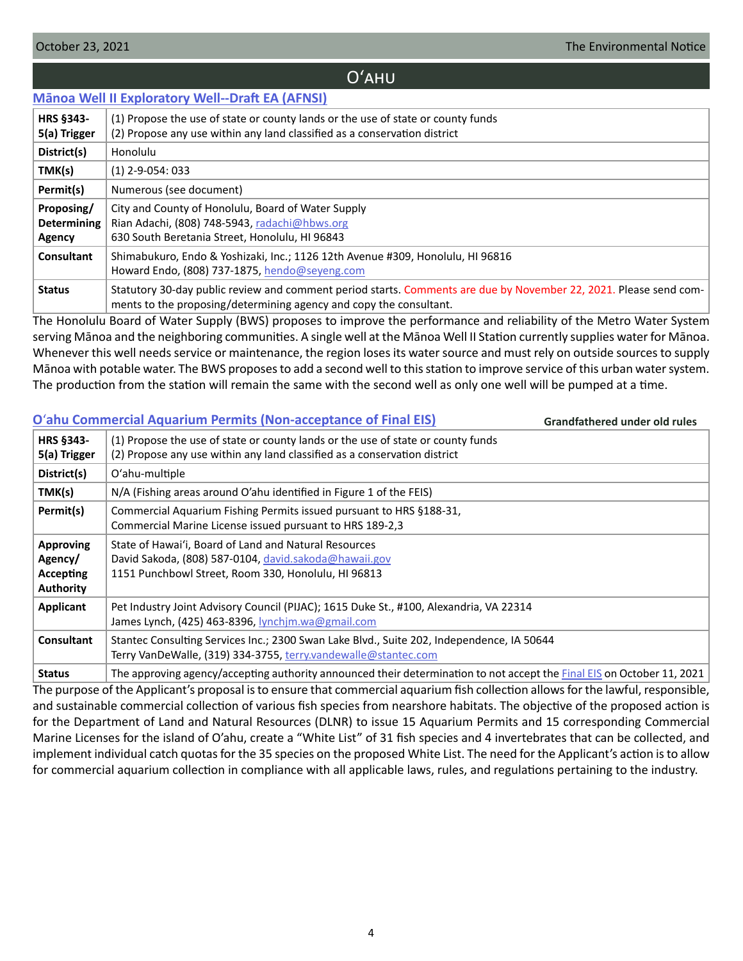# Oʻahu

## <span id="page-3-0"></span>**[Mānoa Well II Exploratory Well--Draft EA \(AFNSI\)](http://oeqc2.doh.hawaii.gov/Doc_Library/2021-10-23-OA-DEA-Manoa-Well-II-Exploratory-Well.pdf)**

| <b>HRS §343-</b><br>5(a) Trigger           | (1) Propose the use of state or county lands or the use of state or county funds<br>(2) Propose any use within any land classified as a conservation district                           |
|--------------------------------------------|-----------------------------------------------------------------------------------------------------------------------------------------------------------------------------------------|
| District(s)                                | Honolulu                                                                                                                                                                                |
| TMK(s)                                     | $(1)$ 2-9-054: 033                                                                                                                                                                      |
| Permit(s)                                  | Numerous (see document)                                                                                                                                                                 |
| Proposing/<br><b>Determining</b><br>Agency | City and County of Honolulu, Board of Water Supply<br>Rian Adachi, (808) 748-5943, radachi@hbws.org<br>630 South Beretania Street, Honolulu, HI 96843                                   |
| <b>Consultant</b>                          | Shimabukuro, Endo & Yoshizaki, Inc.; 1126 12th Avenue #309, Honolulu, HI 96816<br>Howard Endo, (808) 737-1875, hendo@seyeng.com                                                         |
| <b>Status</b>                              | Statutory 30-day public review and comment period starts. Comments are due by November 22, 2021. Please send com-<br>ments to the proposing/determining agency and copy the consultant. |

The Honolulu Board of Water Supply (BWS) proposes to improve the performance and reliability of the Metro Water System serving Mānoa and the neighboring communities. A single well at the Mānoa Well II Station currently supplies water for Mānoa. Whenever this well needs service or maintenance, the region loses its water source and must rely on outside sources to supply Mānoa with potable water. The BWS proposes to add a second well to this station to improve service of this urban water system. The production from the station will remain the same with the second well as only one well will be pumped at a time.

|                                                       | O'ahu Commercial Aquarium Permits (Non-acceptance of Final EIS)<br>Grandfathered under old rules                                                                      |  |  |  |
|-------------------------------------------------------|-----------------------------------------------------------------------------------------------------------------------------------------------------------------------|--|--|--|
| <b>HRS §343-</b><br>5(a) Trigger                      | (1) Propose the use of state or county lands or the use of state or county funds<br>(2) Propose any use within any land classified as a conservation district         |  |  |  |
| District(s)                                           | O'ahu-multiple                                                                                                                                                        |  |  |  |
| TMK(s)                                                | N/A (Fishing areas around O'ahu identified in Figure 1 of the FEIS)                                                                                                   |  |  |  |
| Permit(s)                                             | Commercial Aquarium Fishing Permits issued pursuant to HRS §188-31,<br>Commercial Marine License issued pursuant to HRS 189-2,3                                       |  |  |  |
| <b>Approving</b><br>Agency/<br>Accepting<br>Authority | State of Hawai'i, Board of Land and Natural Resources<br>David Sakoda, (808) 587-0104, david.sakoda@hawaii.gov<br>1151 Punchbowl Street, Room 330, Honolulu, HI 96813 |  |  |  |
| Applicant                                             | Pet Industry Joint Advisory Council (PIJAC); 1615 Duke St., #100, Alexandria, VA 22314<br>James Lynch, (425) 463-8396, <u>lynchim.wa@gmail.com</u>                    |  |  |  |
| <b>Consultant</b>                                     | Stantec Consulting Services Inc.; 2300 Swan Lake Blvd., Suite 202, Independence, IA 50644<br>Terry VanDeWalle, (319) 334-3755, terry.vandewalle@stantec.com           |  |  |  |
|                                                       |                                                                                                                                                                       |  |  |  |

**Status** The approving agency/accepting authority announced their determination to not accept the [Final EIS](http://oeqc2.doh.hawaii.gov/EA_EIS_Library/2021-09-08-OA-FEIS-Oahu-Commercial-Aquarium-Permits.pdf) on October 11, 2021 The purpose of the Applicant's proposal is to ensure that commercial aquarium fish collection allows for the lawful, responsible, and sustainable commercial collection of various fish species from nearshore habitats. The objective of the proposed action is for the Department of Land and Natural Resources (DLNR) to issue 15 Aquarium Permits and 15 corresponding Commercial Marine Licenses for the island of O'ahu, create a "White List" of 31 fish species and 4 invertebrates that can be collected, and implement individual catch quotas for the 35 species on the proposed White List. The need for the Applicant's action is to allow for commercial aquarium collection in compliance with all applicable laws, rules, and regulations pertaining to the industry.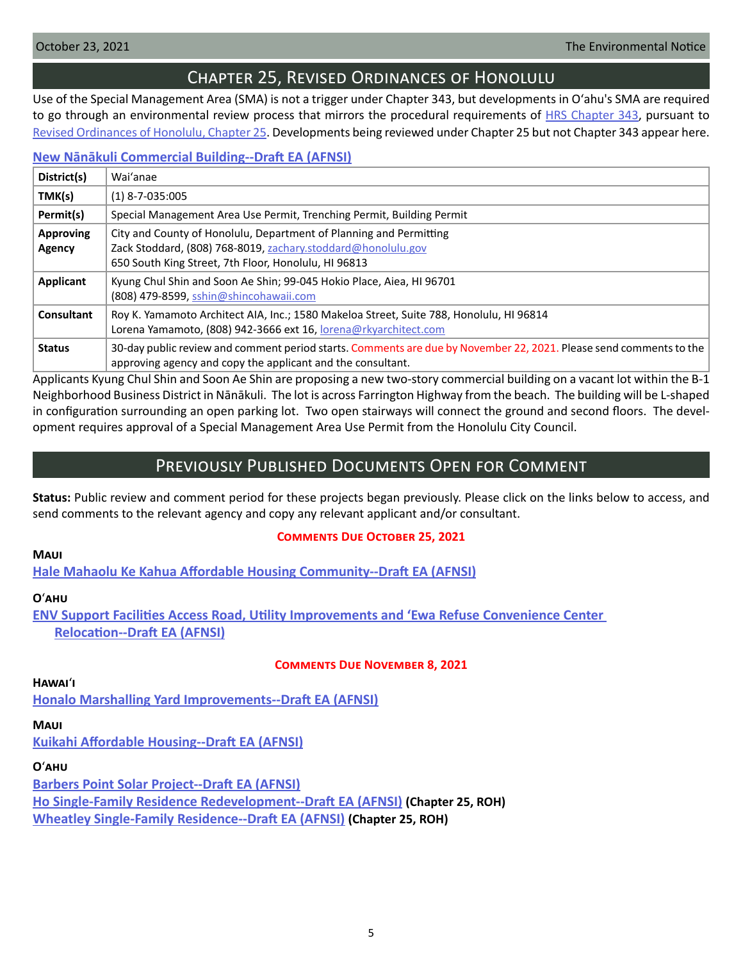<span id="page-4-0"></span>

# Chapter 25, Revised Ordinances of Honolulu

Use of the Special Management Area (SMA) is not a trigger under Chapter 343, but developments in Oʻahu's SMA are required to go through an environmental review process that mirrors the procedural requirements of **[HRS Chapter 343](https://www.capitol.hawaii.gov/hrscurrent/Vol06_Ch0321-0344/HRS0343/HRS_0343-.htm)**, pursuant to [Revised Ordinances of Honolulu, Chapter 25.](https://www.honolulu.gov/rep/site/ocs/roh/ROH_Chapter_25_article_1_12.pdf) Developments being reviewed under Chapter 25 but not Chapter 343 appear here.

## **New N[ānākuli Commercial Building--Draft EA \(AFNSI\)](http://oeqc2.doh.hawaii.gov/Other_TEN_Publications/2021-10-23-OA-Chapter-25-DEA-New-Nanakuli-Commercial-Building.pdf)**

| District(s)                | Wai'anae                                                                                                                                                                                   |
|----------------------------|--------------------------------------------------------------------------------------------------------------------------------------------------------------------------------------------|
| TMK(s)                     | $(1)$ 8-7-035:005                                                                                                                                                                          |
| Permit(s)                  | Special Management Area Use Permit, Trenching Permit, Building Permit                                                                                                                      |
| <b>Approving</b><br>Agency | City and County of Honolulu, Department of Planning and Permitting<br>Zack Stoddard, (808) 768-8019, zachary.stoddard@honolulu.gov<br>650 South King Street, 7th Floor, Honolulu, HI 96813 |
| Applicant                  | Kyung Chul Shin and Soon Ae Shin; 99-045 Hokio Place, Aiea, HI 96701<br>(808) 479-8599, sshin@shincohawaii.com                                                                             |
| <b>Consultant</b>          | Roy K. Yamamoto Architect AIA, Inc.; 1580 Makeloa Street, Suite 788, Honolulu, HI 96814<br>Lorena Yamamoto, (808) 942-3666 ext 16, lorena@rkyarchitect.com                                 |
| <b>Status</b>              | 30-day public review and comment period starts. Comments are due by November 22, 2021. Please send comments to the<br>approving agency and copy the applicant and the consultant.          |

Applicants Kyung Chul Shin and Soon Ae Shin are proposing a new two-story commercial building on a vacant lot within the B-1 Neighborhood Business District in Nānākuli. The lot is across Farrington Highway from the beach. The building will be L-shaped in configuration surrounding an open parking lot. Two open stairways will connect the ground and second floors. The development requires approval of a Special Management Area Use Permit from the Honolulu City Council.

# Previously Published Documents Open for Comment

**Status:** Public review and comment period for these projects began previously. Please click on the links below to access, and send comments to the relevant agency and copy any relevant applicant and/or consultant.

## **Comments Due October 25, 2021**

## **Maui**

**[Hale Mahaolu Ke Kahua Affordable Housing Community--Draft EA \(AFNSI\)](http://oeqc2.doh.hawaii.gov/Doc_Library/2021-09-23-MA-DEA-Hale-Mahaolu-Ke-Kahua-Affordable-Housing-Community.pdf)**

## **O**ʻ**ahu**

**[ENV Support Facilities Access Road, Utility Improvements and 'Ewa Refuse Convenience Center](http://oeqc2.doh.hawaii.gov/Doc_Library/2021-09-23-OA-DEA-ENV-Support-Facilities-Access-Road-Utility-Improvements-Ewa-Refuse-Center-Relocation.pdf)  [Relocation-](http://oeqc2.doh.hawaii.gov/Doc_Library/2021-09-23-OA-DEA-ENV-Support-Facilities-Access-Road-Utility-Improvements-Ewa-Refuse-Center-Relocation.pdf)-Draft EA (AFNSI)**

## **Comments Due November 8, 2021**

## **Hawai**ʻ**i**

**[Honalo Marshalling Yard Improvements--Draft EA \(AFNSI\)](http://oeqc2.doh.hawaii.gov/Doc_Library/2021-10-08-HA-DEA-Honalo-Marshalling-Yard-Improvements.pdf)**

## **Maui**

**[Kuikahi Affordable Housing--Draft EA \(AFNSI\)](http://oeqc2.doh.hawaii.gov/Doc_Library/2021-10-08-MA-DEA-Kuikahi-Affordable-Housing-Project.pdf)**

# **O**ʻ**ahu**

**[Barbers Point Solar Project--Draft EA \(AFNSI\)](http://oeqc2.doh.hawaii.gov/Doc_Library/2021-10-08-OA-DEA-Barbers-Point-Solar-Project.pdf) [Ho Single-Family Residence Redevelopment--Draft EA \(AFNSI\)](http://oeqc2.doh.hawaii.gov/Other_TEN_Publications/2021-10-08-OA-Chapter-25-DEA-Ho-Single-Family-Residence-Redevelopment.pdf) (Chapter 25, ROH) [Wheatley Single-Family Residence--Draft EA \(AFNSI\)](http://oeqc2.doh.hawaii.gov/Other_TEN_Publications/2021-10-08-OA-Chapter-25-DEA-Wheatley-Single-Family-Residence.pdf) (Chapter 25, ROH)**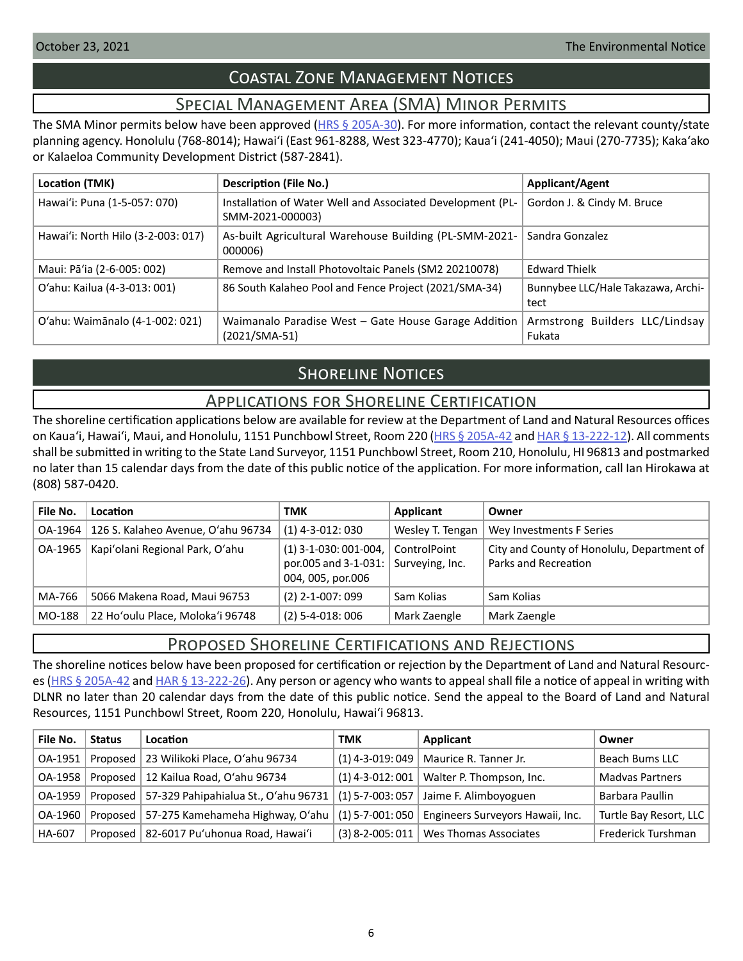# Coastal Zone Management Notices

# Special Management Area (SMA) Minor Permits

<span id="page-5-0"></span>The SMA Minor permits below have been approved ( $HRS \& 205A-30$ ). For more information, contact the relevant county/state planning agency. Honolulu (768-8014); Hawaiʻi (East 961-8288, West 323-4770); Kauaʻi (241-4050); Maui (270-7735); Kakaʻako or Kalaeloa Community Development District (587-2841).

| Location (TMK)                     | <b>Description (File No.)</b>                                                  | Applicant/Agent                            |
|------------------------------------|--------------------------------------------------------------------------------|--------------------------------------------|
| Hawai'i: Puna (1-5-057: 070)       | Installation of Water Well and Associated Development (PL-<br>SMM-2021-000003) | Gordon J. & Cindy M. Bruce                 |
| Hawai'i: North Hilo (3-2-003: 017) | As-built Agricultural Warehouse Building (PL-SMM-2021-<br>000006)              | Sandra Gonzalez                            |
| Maui: Pā'ia (2-6-005: 002)         | Remove and Install Photovoltaic Panels (SM2 20210078)                          | <b>Edward Thielk</b>                       |
| O'ahu: Kailua (4-3-013: 001)       | 86 South Kalaheo Pool and Fence Project (2021/SMA-34)                          | Bunnybee LLC/Hale Takazawa, Archi-<br>tect |
| O'ahu: Waimānalo (4-1-002: 021)    | Waimanalo Paradise West - Gate House Garage Addition<br>$(2021/SMA-51)$        | Armstrong Builders LLC/Lindsay<br>Fukata   |

# **SHORELINE NOTICES**

# Applications for Shoreline Certification

The shoreline certification applications below are available for review at the Department of Land and Natural Resources offices on Kaua'i, Hawai'i, Maui, and Honolulu, 1151 Punchbowl Street, Room 220 ([HRS § 205A-42](https://www.capitol.hawaii.gov/hrscurrent/Vol04_Ch0201-0257/HRS0205A/HRS_0205A-0042.htm) and [HAR § 13-222-12\)](https://dlnr.hawaii.gov/ld/files/2013/07/Ch13-222-Amend-Compil-Stand-Rev1.pdf). All comments shall be submitted in writing to the State Land Surveyor, 1151 Punchbowl Street, Room 210, Honolulu, HI 96813 and postmarked no later than 15 calendar days from the date of this public notice of the application. For more information, call Ian Hirokawa at (808) 587-0420.

| File No. | Location                           | <b>TMK</b>                                                           | Applicant                       | Owner                                                              |
|----------|------------------------------------|----------------------------------------------------------------------|---------------------------------|--------------------------------------------------------------------|
| OA-1964  | 126 S. Kalaheo Avenue, O'ahu 96734 | $(1)$ 4-3-012: 030                                                   | Wesley T. Tengan                | Wey Investments F Series                                           |
| OA-1965  | Kapi'olani Regional Park, O'ahu    | $(1)$ 3-1-030: 001-004,<br>por.005 and 3-1-031:<br>004, 005, por.006 | ControlPoint<br>Surveying, Inc. | City and County of Honolulu, Department of<br>Parks and Recreation |
| MA-766   | 5066 Makena Road, Maui 96753       | $(2)$ 2-1-007: 099                                                   | Sam Kolias                      | Sam Kolias                                                         |
| MO-188   | 22 Ho'oulu Place, Moloka'i 96748   | $(2)$ 5-4-018: 006                                                   | Mark Zaengle                    | Mark Zaengle                                                       |

# Proposed Shoreline Certifications and Rejections

The shoreline notices below have been proposed for certification or rejection by the Department of Land and Natural Resourc-es [\(HRS § 205A-42](http://HRS § 205A-42) and [HAR § 13-222-26\)](https://dlnr.hawaii.gov/ld/files/2013/07/Ch13-222-Amend-Compil-Stand-Rev1.pdf). Any person or agency who wants to appeal shall file a notice of appeal in writing with DLNR no later than 20 calendar days from the date of this public notice. Send the appeal to the Board of Land and Natural Resources, 1151 Punchbowl Street, Room 220, Honolulu, Hawai'i 96813.

| File No. | <b>Status</b> | Location                                        | <b>TMK</b>             | Applicant                                    | Owner                  |
|----------|---------------|-------------------------------------------------|------------------------|----------------------------------------------|------------------------|
| OA-1951  |               | Proposed   23 Wilikoki Place, O'ahu 96734       |                        | $(1)$ 4-3-019: 049   Maurice R. Tanner Jr.   | <b>Beach Bums LLC</b>  |
| OA-1958  |               | Proposed   12 Kailua Road, O'ahu 96734          |                        | $(1)$ 4-3-012:001   Walter P. Thompson, Inc. | <b>Madvas Partners</b> |
| OA-1959  |               | Proposed   57-329 Pahipahialua St., O'ahu 96731 | $(1)$ 5-7-003: 057 $ $ | Jaime F. Alimboyoguen                        | Barbara Paullin        |
| OA-1960  |               | Proposed   57-275 Kamehameha Highway, O'ahu     | $(1)$ 5-7-001: 050     | Engineers Surveyors Hawaii, Inc.             | Turtle Bay Resort, LLC |
| HA-607   |               | Proposed   82-6017 Pu'uhonua Road, Hawai'i      |                        | $(3)$ 8-2-005: 011   Wes Thomas Associates   | Frederick Turshman     |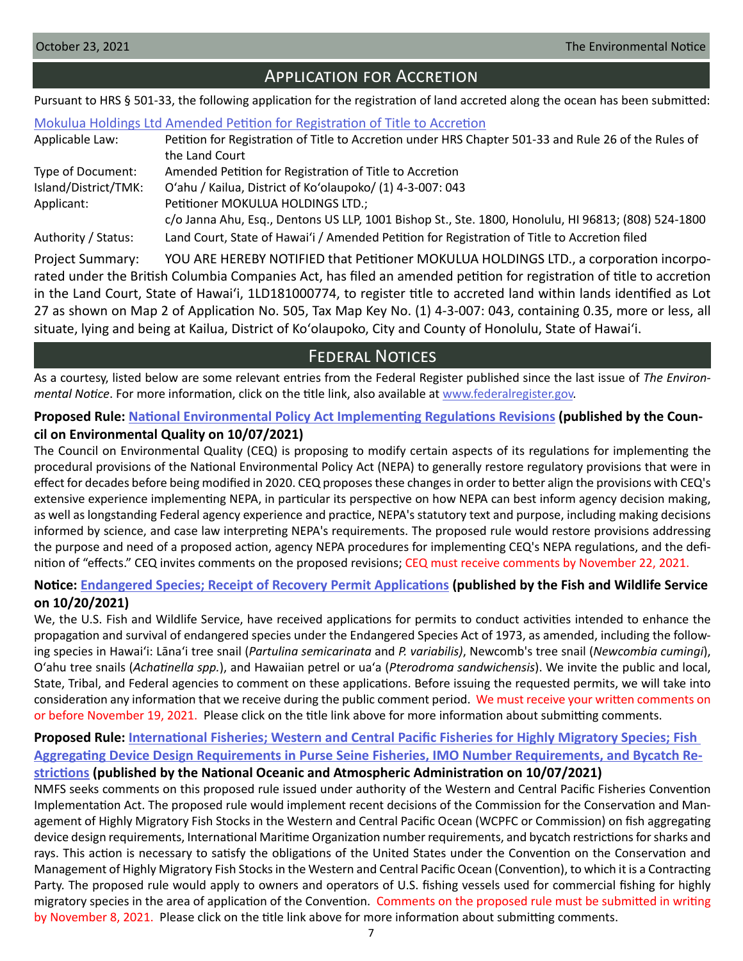# Application for Accretion

<span id="page-6-0"></span>Pursuant to HRS § 501-33, the following application for the registration of land accreted along the ocean has been submitted:

## Mokulua Holdings Ltd [Amended Petition for Registration of Title to Accretion](http://oeqc2.doh.hawaii.gov/Other_TEN_Publications/2021-10-23-OA-Chapter-501-Mokulua-Holdings-Amended-Petition-for-Registration-of-Title-to-Accretion.pdf)

| Applicable Law:         | Petition for Registration of Title to Accretion under HRS Chapter 501-33 and Rule 26 of the Rules of |
|-------------------------|------------------------------------------------------------------------------------------------------|
|                         | the Land Court                                                                                       |
| Type of Document:       | Amended Petition for Registration of Title to Accretion                                              |
| Island/District/TMK:    | O'ahu / Kailua, District of Ko'olaupoko/ (1) 4-3-007: 043                                            |
| Applicant:              | Petitioner MOKULUA HOLDINGS LTD.;                                                                    |
|                         | c/o Janna Ahu, Esq., Dentons US LLP, 1001 Bishop St., Ste. 1800, Honolulu, HI 96813; (808) 524-1800  |
| Authority / Status:     | Land Court, State of Hawai'i / Amended Petition for Registration of Title to Accretion filed         |
| <b>Project Summary:</b> | YOU ARE HEREBY NOTIFIED that Petitioner MOKULUA HOLDINGS LTD., a corporation incorpo-                |

rated under the British Columbia Companies Act, has filed an amended petition for registration of title to accretion in the Land Court, State of Hawaiʻi, 1LD181000774, to register title to accreted land within lands identified as Lot 27 as shown on Map 2 of Application No. 505, Tax Map Key No. (1) 4-3-007: 043, containing 0.35, more or less, all situate, lying and being at Kailua, District of Koʻolaupoko, City and County of Honolulu, State of Hawaiʻi.

# **FEDERAL NOTICES**

As a courtesy, listed below are some relevant entries from the Federal Register published since the last issue of *The Environmental Notice*. For more information, click on the title link, also available at [www.federalregister.gov](http://www.federalregister.gov).

# **Proposed Rule: [National Environmental Policy Act Implementing Regulations Revisions](https://www.federalregister.gov/documents/2021/10/07/2021-21867/national-environmental-policy-act-implementing-regulations-revisions) (published by the Council on Environmental Quality on 10/07/2021)**

The Council on Environmental Quality (CEQ) is proposing to modify certain aspects of its regulations for implementing the procedural provisions of the National Environmental Policy Act (NEPA) to generally restore regulatory provisions that were in effect for decades before being modified in 2020. CEQ proposes these changes in order to better align the provisions with CEQ's extensive experience implementing NEPA, in particular its perspective on how NEPA can best inform agency decision making, as well as longstanding Federal agency experience and practice, NEPA's statutory text and purpose, including making decisions informed by science, and case law interpreting NEPA's requirements. The proposed rule would restore provisions addressing the purpose and need of a proposed action, agency NEPA procedures for implementing CEQ's NEPA regulations, and the definition of "effects." CEQ invites comments on the proposed revisions; CEQ must receive comments by November 22, 2021.

## **Notice: [Endangered Species; Receipt of Recovery Permit Applications](https://www.federalregister.gov/documents/2021/10/20/2021-22812/endangered-species-receipt-of-recovery-permit-applications) (published by the Fish and Wildlife Service on 10/20/2021)**

We, the U.S. Fish and Wildlife Service, have received applications for permits to conduct activities intended to enhance the propagation and survival of endangered species under the Endangered Species Act of 1973, as amended, including the following species in Hawaiʻi: Lānaʻi tree snail (*Partulina semicarinata* and *P. variabilis)*, Newcomb's tree snail (*Newcombia cumingi*), Oʻahu tree snails (*Achatinella spp.*), and Hawaiian petrel or uaʻa (*Pterodroma sandwichensis*). We invite the public and local, State, Tribal, and Federal agencies to comment on these applications. Before issuing the requested permits, we will take into consideration any information that we receive during the public comment period. We must receive your written comments on or before November 19, 2021. Please click on the title link above for more information about submitting comments.

# **Proposed Rule: [International Fisheries; Western and Central Pacific Fisheries for Highly Migratory Species; Fish](https://www.federalregister.gov/documents/2021/10/07/2021-21646/international-fisheries-western-and-central-pacific-fisheries-for-highly-migratory-species-fish)  [Aggregating Device Design Requirements in Purse Seine Fisheries, IMO Number Requirements, and Bycatch Re](https://www.federalregister.gov/documents/2021/10/07/2021-21646/international-fisheries-western-and-central-pacific-fisheries-for-highly-migratory-species-fish)[strictions](https://www.federalregister.gov/documents/2021/10/07/2021-21646/international-fisheries-western-and-central-pacific-fisheries-for-highly-migratory-species-fish) (published by the National Oceanic and Atmospheric Administration on 10/07/2021)**

NMFS seeks comments on this proposed rule issued under authority of the Western and Central Pacific Fisheries Convention Implementation Act. The proposed rule would implement recent decisions of the Commission for the Conservation and Management of Highly Migratory Fish Stocks in the Western and Central Pacific Ocean (WCPFC or Commission) on fish aggregating device design requirements, International Maritime Organization number requirements, and bycatch restrictions for sharks and rays. This action is necessary to satisfy the obligations of the United States under the Convention on the Conservation and Management of Highly Migratory Fish Stocks in the Western and Central Pacific Ocean (Convention), to which it is a Contracting Party. The proposed rule would apply to owners and operators of U.S. fishing vessels used for commercial fishing for highly migratory species in the area of application of the Convention. Comments on the proposed rule must be submitted in writing by November 8, 2021. Please click on the title link above for more information about submitting comments.